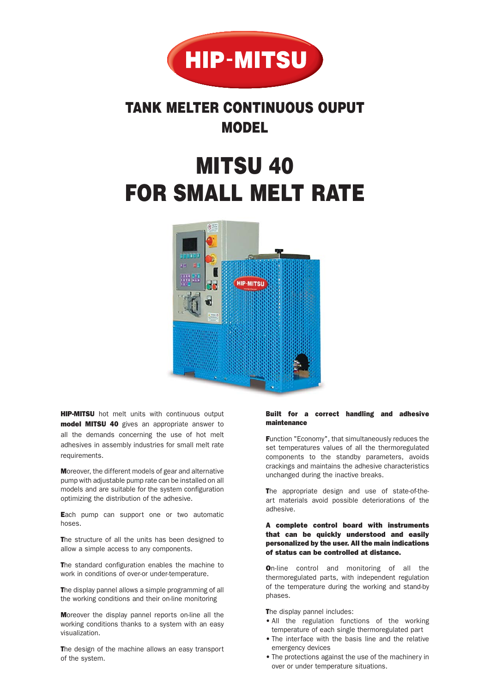

## **TANK MELTER CONTINUOUS OUPUT MODEL**

# **MITSU 40 FOR SMALL MELT RATE**



**HIP-MITSU** hot melt units with continuous output model MITSU 40 gives an appropriate answer to all the demands concerning the use of hot melt adhesives in assembly industries for small melt rate requirements.

Moreover, the different models of gear and alternative pump with adjustable pump rate can be installed on all models and are suitable for the system configuration optimizing the distribution of the adhesive.

Each pump can support one or two automatic hoses.

The structure of all the units has been designed to allow a simple access to any components.

The standard configuration enables the machine to work in conditions of over-or under-temperature.

The display pannel allows a simple programming of all the working conditions and their on-line monitoring

Moreover the display pannel reports on-line all the working conditions thanks to a system with an easy visualization.

The design of the machine allows an easy transport of the system.

#### Built for a correct handling and adhesive maintenance

Function "Economy", that simultaneously reduces the set temperatures values of all the thermoregulated components to the standby parameters, avoids crackings and maintains the adhesive characteristics unchanged during the inactive breaks.

The appropriate design and use of state-of-theart materials avoid possible deteriorations of the adhesive.

#### A complete control board with instruments that can be quickly understood and easily personalized by the user. All the main indications of status can be controlled at distance.

On-line control and monitoring of all the thermoregulated parts, with independent regulation of the temperature during the working and stand-by phases.

The display pannel includes:

- All the regulation functions of the working temperature of each single thermoregulated part
- The interface with the basis line and the relative emergency devices
- The protections against the use of the machinery in over or under temperature situations.